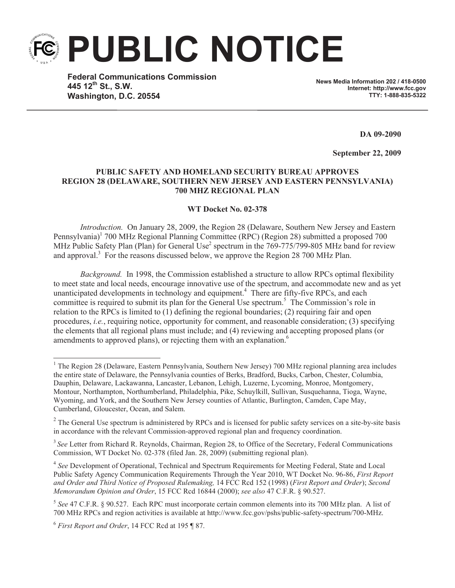**PUBLIC NOTICE**

**Federal Communications Commission 445 12th St., S.W. Washington, D.C. 20554**

**News Media Information 202 / 418-0500 Internet: http://www.fcc.gov TTY: 1-888-835-5322**

**DA 09-2090**

**September 22, 2009** 

## **PUBLIC SAFETY AND HOMELAND SECURITY BUREAU APPROVES REGION 28 (DELAWARE, SOUTHERN NEW JERSEY AND EASTERN PENNSYLVANIA) 700 MHZ REGIONAL PLAN**

## **WT Docket No. 02-378**

*Introduction.* On January 28, 2009, the Region 28 (Delaware, Southern New Jersey and Eastern Pennsylvania)<sup>1</sup> 700 MHz Regional Planning Committee (RPC) (Region 28) submitted a proposed 700 MHz Public Safety Plan (Plan) for General Use<sup>2</sup> spectrum in the 769-775/799-805 MHz band for review and approval.<sup>3</sup> For the reasons discussed below, we approve the Region 28 700 MHz Plan.

*Background.* In 1998, the Commission established a structure to allow RPCs optimal flexibility to meet state and local needs, encourage innovative use of the spectrum, and accommodate new and as yet unanticipated developments in technology and equipment.<sup>4</sup> There are fifty-five RPCs, and each committee is required to submit its plan for the General Use spectrum.<sup>5</sup> The Commission's role in relation to the RPCs is limited to (1) defining the regional boundaries; (2) requiring fair and open procedures, *i.e.*, requiring notice, opportunity for comment, and reasonable consideration; (3) specifying the elements that all regional plans must include; and (4) reviewing and accepting proposed plans (or amendments to approved plans), or rejecting them with an explanation.<sup>6</sup>

<sup>&</sup>lt;sup>1</sup> The Region 28 (Delaware, Eastern Pennsylvania, Southern New Jersey) 700 MHz regional planning area includes the entire state of Delaware, the Pennsylvania counties of Berks, Bradford, Bucks, Carbon, Chester, Columbia, Dauphin, Delaware, Lackawanna, Lancaster, Lebanon, Lehigh, Luzerne, Lycoming, Monroe, Montgomery, Montour, Northampton, Northumberland, Philadelphia, Pike, Schuylkill, Sullivan, Susquehanna, Tioga, Wayne, Wyoming, and York, and the Southern New Jersey counties of Atlantic, Burlington, Camden, Cape May, Cumberland, Gloucester, Ocean, and Salem.

 $2^2$  The General Use spectrum is administered by RPCs and is licensed for public safety services on a site-by-site basis in accordance with the relevant Commission-approved regional plan and frequency coordination.

<sup>&</sup>lt;sup>3</sup> See Letter from Richard R. Reynolds, Chairman, Region 28, to Office of the Secretary, Federal Communications Commission, WT Docket No. 02-378 (filed Jan. 28, 2009) (submitting regional plan).

<sup>&</sup>lt;sup>4</sup> See Development of Operational, Technical and Spectrum Requirements for Meeting Federal, State and Local Public Safety Agency Communication Requirements Through the Year 2010, WT Docket No. 96-86, *First Report and Order and Third Notice of Proposed Rulemaking,* 14 FCC Rcd 152 (1998) (*First Report and Order*); *Second Memorandum Opinion and Order*, 15 FCC Rcd 16844 (2000); *see also* 47 C.F.R. § 90.527.

<sup>5</sup> *See* 47 C.F.R. § 90.527. Each RPC must incorporate certain common elements into its 700 MHz plan. A list of 700 MHz RPCs and region activities is available at http://www.fcc.gov/pshs/public-safety-spectrum/700-MHz.

<sup>6</sup> *First Report and Order*, 14 FCC Rcd at 195 ¶ 87.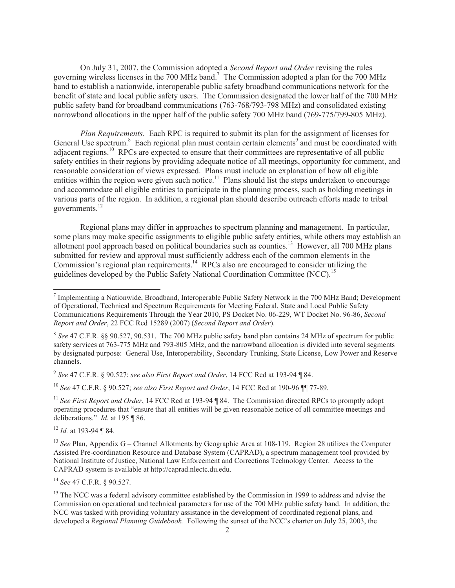On July 31, 2007, the Commission adopted a *Second Report and Order* revising the rules governing wireless licenses in the 700 MHz band.<sup>7</sup> The Commission adopted a plan for the 700 MHz band to establish a nationwide, interoperable public safety broadband communications network for the benefit of state and local public safety users. The Commission designated the lower half of the 700 MHz public safety band for broadband communications (763-768/793-798 MHz) and consolidated existing narrowband allocations in the upper half of the public safety 700 MHz band (769-775/799-805 MHz).

*Plan Requirements.* Each RPC is required to submit its plan for the assignment of licenses for General Use spectrum.<sup>8</sup> Each regional plan must contain certain elements<sup>9</sup> and must be coordinated with adjacent regions.<sup>10</sup> RPCs are expected to ensure that their committees are representative of all public safety entities in their regions by providing adequate notice of all meetings, opportunity for comment, and reasonable consideration of views expressed. Plans must include an explanation of how all eligible entities within the region were given such notice.<sup>11</sup> Plans should list the steps undertaken to encourage and accommodate all eligible entities to participate in the planning process, such as holding meetings in various parts of the region. In addition, a regional plan should describe outreach efforts made to tribal governments.<sup>12</sup>

Regional plans may differ in approaches to spectrum planning and management. In particular, some plans may make specific assignments to eligible public safety entities, while others may establish an allotment pool approach based on political boundaries such as counties.<sup>13</sup> However, all 700 MHz plans submitted for review and approval must sufficiently address each of the common elements in the Commission's regional plan requirements.<sup>14</sup> RPCs also are encouraged to consider utilizing the guidelines developed by the Public Safety National Coordination Committee (NCC).<sup>15</sup>

<sup>10</sup> *See* 47 C.F.R. § 90.527; *see also First Report and Order*, 14 FCC Rcd at 190-96 ¶¶ 77-89.

<sup>11</sup> *See First Report and Order*, 14 FCC Rcd at 193-94 ¶ 84. The Commission directed RPCs to promptly adopt operating procedures that "ensure that all entities will be given reasonable notice of all committee meetings and deliberations." *Id.* at 195 ¶ 86.

<sup>12</sup> *Id.* at 193-94 ¶ 84.

<sup>14</sup> *See* 47 C.F.R. § 90.527.

<sup>&</sup>lt;sup>7</sup> Implementing a Nationwide, Broadband, Interoperable Public Safety Network in the 700 MHz Band; Development of Operational, Technical and Spectrum Requirements for Meeting Federal, State and Local Public Safety Communications Requirements Through the Year 2010, PS Docket No. 06-229, WT Docket No. 96-86, *Second Report and Order*, 22 FCC Rcd 15289 (2007) (*Second Report and Order*).

<sup>&</sup>lt;sup>8</sup> See 47 C.F.R. §§ 90.527, 90.531. The 700 MHz public safety band plan contains 24 MHz of spectrum for public safety services at 763-775 MHz and 793-805 MHz, and the narrowband allocation is divided into several segments by designated purpose: General Use, Interoperability, Secondary Trunking, State License, Low Power and Reserve channels.

<sup>9</sup> *See* 47 C.F.R. § 90.527; *see also First Report and Order*, 14 FCC Rcd at 193-94 ¶ 84.

<sup>&</sup>lt;sup>13</sup> *See* Plan, Appendix G – Channel Allotments by Geographic Area at 108-119. Region 28 utilizes the Computer Assisted Pre-coordination Resource and Database System (CAPRAD), a spectrum management tool provided by National Institute of Justice, National Law Enforcement and Corrections Technology Center. Access to the CAPRAD system is available at http://caprad.nlectc.du.edu.

<sup>&</sup>lt;sup>15</sup> The NCC was a federal advisory committee established by the Commission in 1999 to address and advise the Commission on operational and technical parameters for use of the 700 MHz public safety band. In addition, the NCC was tasked with providing voluntary assistance in the development of coordinated regional plans, and developed a *Regional Planning Guidebook.* Following the sunset of the NCC's charter on July 25, 2003, the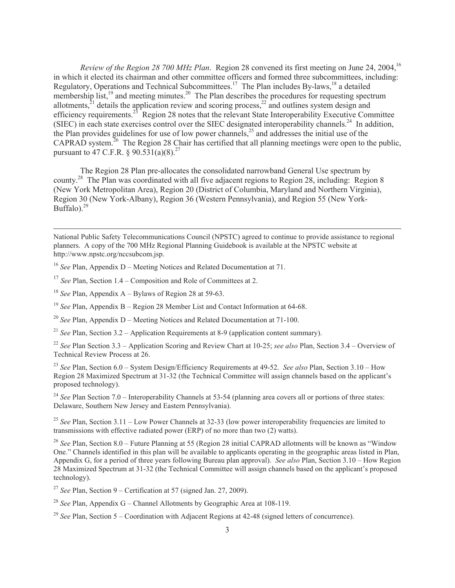*Review of the Region 28 700 MHz Plan*. Region 28 convened its first meeting on June 24, 2004,<sup>16</sup> in which it elected its chairman and other committee officers and formed three subcommittees, including: Regulatory, Operations and Technical Subcommittees.<sup>17</sup> The Plan includes By-laws,<sup>18</sup> a detailed membership list,<sup>19</sup> and meeting minutes.<sup>20</sup> The Plan describes the procedures for requesting spectrum allotments, $\frac{1}{2}$ <sup>1</sup> details the application review and scoring process,<sup>22</sup> and outlines system design and efficiency requirements.<sup>23</sup> Region 28 notes that the relevant State Interoperability Executive Committee (SIEC) in each state exercises control over the SIEC designated interoperability channels.<sup>24</sup> In addition, the Plan provides guidelines for use of low power channels,<sup>25</sup> and addresses the initial use of the  $CAPRAD$  system.<sup>26</sup> The Region 28 Chair has certified that all planning meetings were open to the public, pursuant to 47 C.F.R.  $\frac{6}{90.531(a)(8)^{27}}$ 

The Region 28 Plan pre-allocates the consolidated narrowband General Use spectrum by county.<sup>28</sup> The Plan was coordinated with all five adjacent regions to Region 28, including: Region 8 (New York Metropolitan Area), Region 20 (District of Columbia, Maryland and Northern Virginia), Region 30 (New York-Albany), Region 36 (Western Pennsylvania), and Region 55 (New York-Buffalo). $^{29}$ 

National Public Safety Telecommunications Council (NPSTC) agreed to continue to provide assistance to regional planners. A copy of the 700 MHz Regional Planning Guidebook is available at the NPSTC website at http://www.npstc.org/nccsubcom.jsp.

<sup>16</sup> *See* Plan, Appendix D – Meeting Notices and Related Documentation at 71.

<sup>17</sup> *See* Plan, Section 1.4 – Composition and Role of Committees at 2.

<sup>18</sup> *See* Plan, Appendix A – Bylaws of Region 28 at 59-63.

<sup>19</sup> *See* Plan, Appendix B – Region 28 Member List and Contact Information at 64-68.

<sup>20</sup> *See* Plan, Appendix D – Meeting Notices and Related Documentation at 71-100.

<sup>21</sup> *See* Plan, Section 3.2 – Application Requirements at 8-9 (application content summary).

<sup>22</sup> *See* Plan Section 3.3 – Application Scoring and Review Chart at 10-25; *see also* Plan, Section 3.4 – Overview of Technical Review Process at 26.

<sup>23</sup> *See* Plan, Section 6.0 – System Design/Efficiency Requirements at 49-52. *See also* Plan, Section 3.10 – How Region 28 Maximized Spectrum at 31-32 (the Technical Committee will assign channels based on the applicant's proposed technology).

<sup>24</sup> *See* Plan Section 7.0 – Interoperability Channels at 53-54 (planning area covers all or portions of three states: Delaware, Southern New Jersey and Eastern Pennsylvania).

<sup>25</sup> *See* Plan, Section 3.11 – Low Power Channels at 32-33 (low power interoperability frequencies are limited to transmissions with effective radiated power (ERP) of no more than two (2) watts).

<sup>26</sup> See Plan, Section 8.0 – Future Planning at 55 (Region 28 initial CAPRAD allotments will be known as "Window" One." Channels identified in this plan will be available to applicants operating in the geographic areas listed in Plan, Appendix G, for a period of three years following Bureau plan approval). *See also* Plan, Section 3.10 – How Region 28 Maximized Spectrum at 31-32 (the Technical Committee will assign channels based on the applicant's proposed technology).

<sup>27</sup> *See* Plan, Section 9 – Certification at 57 (signed Jan. 27, 2009).

<sup>28</sup> *See* Plan, Appendix G – Channel Allotments by Geographic Area at 108-119.

<sup>29</sup> *See* Plan, Section 5 – Coordination with Adjacent Regions at 42-48 (signed letters of concurrence).